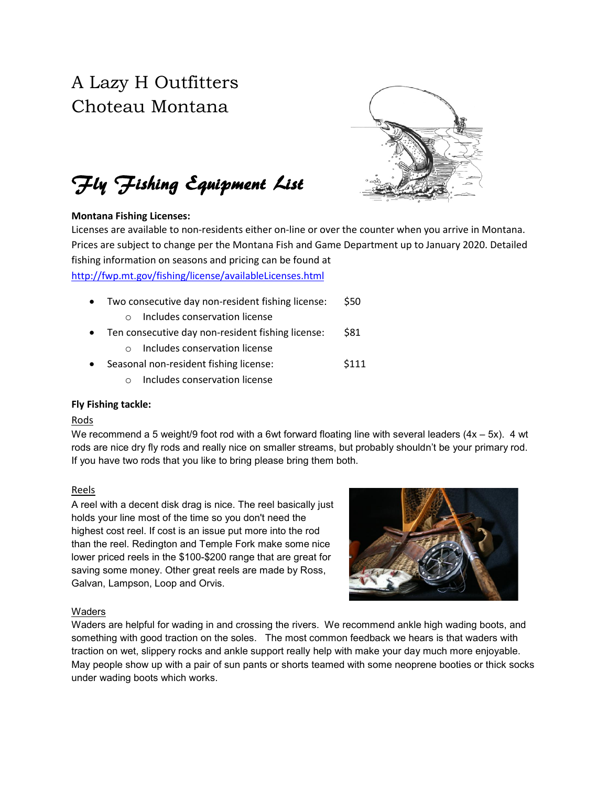# A Lazy H Outfitters Choteau Montana



Fly Fishing Equipment List

# Montana Fishing Licenses:

Licenses are available to non-residents either on-line or over the counter when you arrive in Montana. Prices are subject to change per the Montana Fish and Game Department up to January 2020. Detailed fishing information on seasons and pricing can be found at <http://fwp.mt.gov/fishing/license/availableLicenses.html>

- Two consecutive day non-resident fishing license: \$50
	- o Includes conservation license
- Ten consecutive day non-resident fishing license: \$81
	- o Includes conservation license
- Seasonal non-resident fishing license:  $\frac{111}{12}$ 
	- o Includes conservation license

# Fly Fishing tackle:

#### Rods

We recommend a 5 weight/9 foot rod with a 6wt forward floating line with several leaders  $(4x - 5x)$ . 4 wt rods are nice dry fly rods and really nice on smaller streams, but probably shouldn't be your primary rod. If you have two rods that you like to bring please bring them both.

# Reels

A reel with a decent disk drag is nice. The reel basically just holds your line most of the time so you don't need the highest cost reel. If cost is an issue put more into the rod than the reel. Redington and Temple Fork make some nice lower priced reels in the \$100-\$200 range that are great for saving some money. Other great reels are made by Ross, Galvan, Lampson, Loop and Orvis.



# Waders

Waders are helpful for wading in and crossing the rivers. We recommend ankle high wading boots, and something with good traction on the soles. The most common feedback we hears is that waders with traction on wet, slippery rocks and ankle support really help with make your day much more enjoyable. May people show up with a pair of sun pants or shorts teamed with some neoprene booties or thick socks under wading boots which works.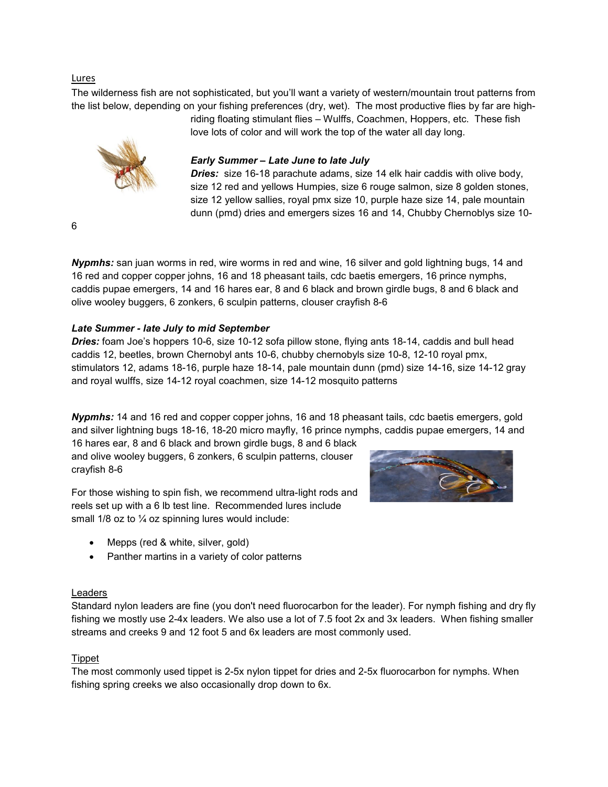#### Lures

The wilderness fish are not sophisticated, but you'll want a variety of western/mountain trout patterns from the list below, depending on your fishing preferences (dry, wet). The most productive flies by far are high-

love lots of color and will work the top of the water all day long.

# *Early Summer – Late June to late July*

*Dries:* size 16-18 parachute adams, size 14 elk hair caddis with olive body, size 12 red and yellows Humpies, size 6 rouge salmon, size 8 golden stones, size 12 yellow sallies, royal pmx size 10, purple haze size 14, pale mountain dunn (pmd) dries and emergers sizes 16 and 14, Chubby Chernoblys size 10-

riding floating stimulant flies – Wulffs, Coachmen, Hoppers, etc. These fish

6

*Nypmhs:* san juan worms in red, wire worms in red and wine, 16 silver and gold lightning bugs, 14 and 16 red and copper copper johns, 16 and 18 pheasant tails, cdc baetis emergers, 16 prince nymphs, caddis pupae emergers, 14 and 16 hares ear, 8 and 6 black and brown girdle bugs, 8 and 6 black and olive wooley buggers, 6 zonkers, 6 sculpin patterns, clouser crayfish 8-6

# *Late Summer - late July to mid September*

*Dries:* foam Joe's hoppers 10-6, size 10-12 sofa pillow stone, flying ants 18-14, caddis and bull head caddis 12, beetles, brown Chernobyl ants 10-6, chubby chernobyls size 10-8, 12-10 royal pmx, stimulators 12, adams 18-16, purple haze 18-14, pale mountain dunn (pmd) size 14-16, size 14-12 gray and royal wulffs, size 14-12 royal coachmen, size 14-12 mosquito patterns

*Nypmhs:* 14 and 16 red and copper copper johns, 16 and 18 pheasant tails, cdc baetis emergers, gold and silver lightning bugs 18-16, 18-20 micro mayfly, 16 prince nymphs, caddis pupae emergers, 14 and

16 hares ear, 8 and 6 black and brown girdle bugs, 8 and 6 black and olive wooley buggers, 6 zonkers, 6 sculpin patterns, clouser crayfish 8-6

For those wishing to spin fish, we recommend ultra-light rods and reels set up with a 6 lb test line. Recommended lures include small  $1/8$  oz to  $\frac{1}{4}$  oz spinning lures would include:

- Mepps (red & white, silver, gold)
- Panther martins in a variety of color patterns

#### Leaders

Standard nylon leaders are fine (you don't need fluorocarbon for the leader). For nymph fishing and dry fly fishing we mostly use 2-4x leaders. We also use a lot of 7.5 foot 2x and 3x leaders. When fishing smaller streams and creeks 9 and 12 foot 5 and 6x leaders are most commonly used.

#### Tippet

The most commonly used tippet is 2-5x nylon tippet for dries and 2-5x fluorocarbon for nymphs. When fishing spring creeks we also occasionally drop down to 6x.